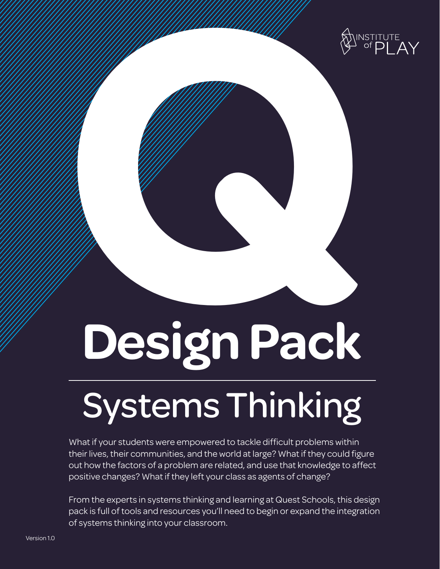

# **Design Pack Design Pack**

## Systems Thinking

What if your students were empowered to tackle difficult problems within their lives, their communities, and the world at large? What if they could figure out how the factors of a problem are related, and use that knowledge to affect positive changes? What if they left your class as agents of change?

From the experts in systems thinking and learning at Quest Schools, this design pack is full of tools and resources you'll need to begin or expand the integration of systems thinking into your classroom.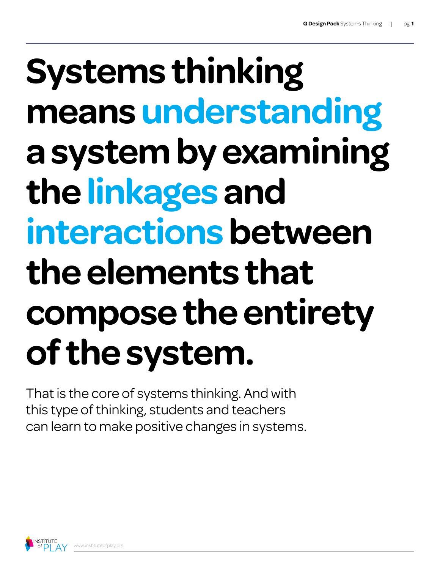## **Systems thinking means understanding a system by examining the linkages and interactions between the elements that compose the entirety of the system.**

That is the core of systems thinking. And with this type of thinking, students and teachers can learn to make positive changes in systems.

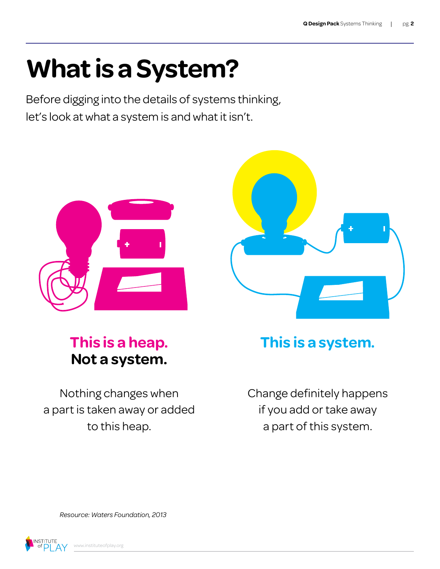## **What is a System?**

Before digging into the details of systems thinking, let's look at what a system is and what it isn't.



#### **This is a heap. Not a system.**

Nothing changes when a part is taken away or added to this heap.



#### **This is a system.**

Change definitely happens if you add or take away a part of this system.

*Resource: Waters Foundation, 2013*

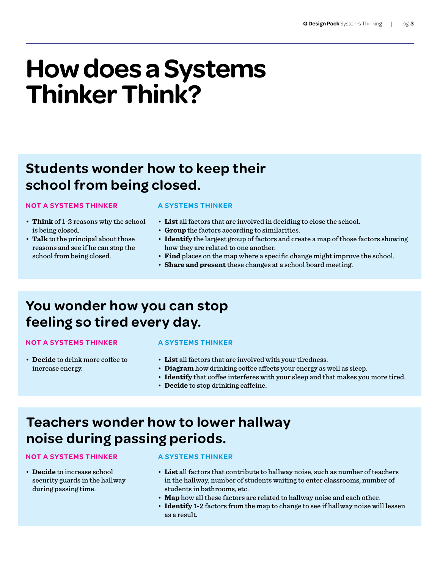## **How does a Systems Thinker Think?**

#### **Students wonder how to keep their school from being closed.**

#### **NOT A SYSTEMS THINKER**

- • **Think** of 1-2 reasons why the school is being closed.
- • **Talk** to the principal about those reasons and see if he can stop the school from being closed.

#### **A SYSTEMS THINKER**

- • **List** all factors that are involved in deciding to close the school.
- • **Group** the factors according to similarities.
- • **Identify** the largest group of factors and create a map of those factors showing how they are related to one another.
- • **Find** places on the map where a specific change might improve the school.
- • **Share and present** these changes at a school board meeting.

#### **You wonder how you can stop feeling so tired every day.**

#### **NOT A SYSTEMS THINKER**

#### **A SYSTEMS THINKER**

- • **Decide** to drink more coffee to increase energy.
- • **List** all factors that are involved with your tiredness.
- • **Diagram** how drinking coffee affects your energy as well as sleep.
- • **Identify** that coffee interferes with your sleep and that makes you more tired.
- • **Decide** to stop drinking caffeine.

#### **Teachers wonder how to lower hallway noise during passing periods.**

#### **NOT A SYSTEMS THINKER**

• **Decide** to increase school security guards in the hallway during passing time.

#### **A SYSTEMS THINKER**

- • **List** all factors that contribute to hallway noise, such as number of teachers in the hallway, number of students waiting to enter classrooms, number of students in bathrooms, etc.
- • **Map** how all these factors are related to hallway noise and each other.
- • **Identify** 1-2 factors from the map to change to see if hallway noise will lessen as a result.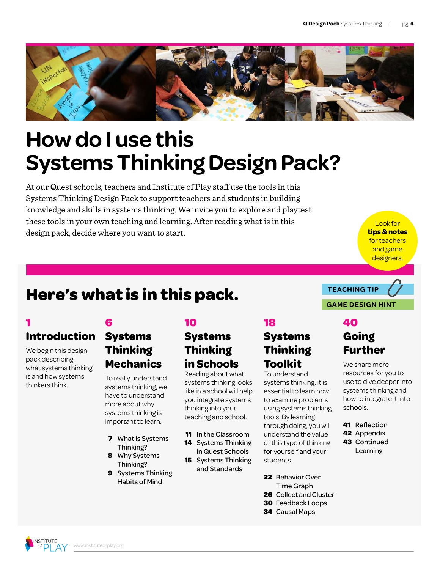

## **How do I use this Systems Thinking Design Pack?**

At our Quest schools, teachers and Institute of Play staff use the tools in this Systems Thinking Design Pack to support teachers and students in building knowledge and skills in systems thinking. We invite you to explore and playtest these tools in your own teaching and learning. After reading what is in this design pack, decide where you want to start.

Look for **tips & notes**  for teachers and game designers.

#### **Here's what is in this pack.**

#### **1 Introduction**

We begin this design pack describing what systems thinking is and how systems thinkers think.

#### **6**

#### **Systems Thinking Mechanics**

To really understand systems thinking, we have to understand more about why systems thinking is important to learn.

- **7** What is Systems Thinking?
- **8** Why Systems Thinking?
- **9** Systems Thinking Habits of Mind

#### **10**

#### **Systems Thinking in Schools**

Reading about what systems thinking looks like in a school will help you integrate systems thinking into your teaching and school.

- **11** In the Classroom
- 
- **14** Systems Thinking
- in Quest Schools **15** Systems Thinking
	- and Standards

#### **18**

#### **Systems Thinking Toolkit**

To understand systems thinking, it is essential to learn how to examine problems using systems thinking tools. By learning through doing, you will understand the value of this type of thinking for yourself and your students.

- **22** Behavior Over Time Graph
- **26** Collect and Cluster
- **30** Feedback Loops
- **34** Causal Maps

#### **TEACHING TIP**

#### **GAME DESIGN HINT**

#### **40 Going Further**

We share more resources for you to use to dive deeper into systems thinking and how to integrate it into schools.

- **41** Reflection
- **42** Appendix
- **43** Continued **Learning**

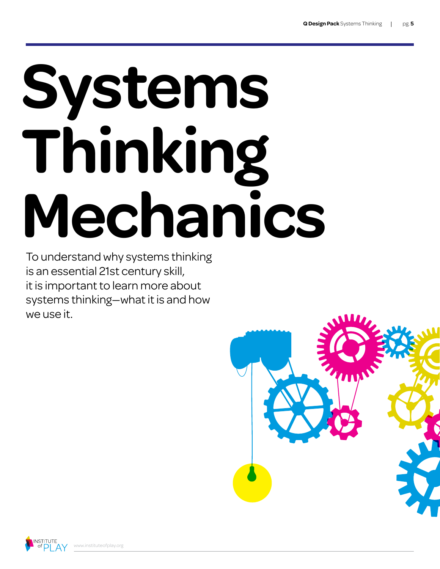# **Systems Thinking Mechanics**

To understand why systems thinking is an essential 21st century skill, it is important to learn more about systems thinking—what it is and how we use it.



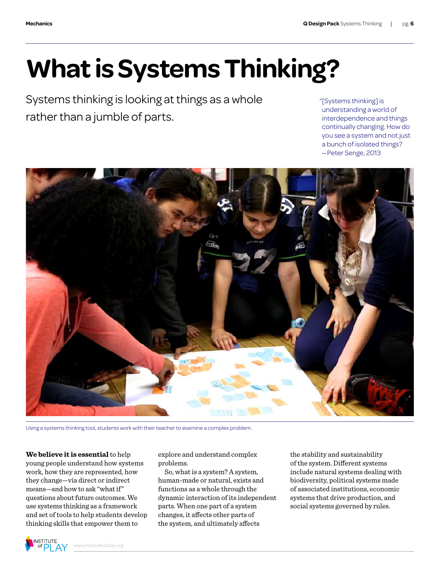## **What is Systems Thinking?**

Systems thinking is looking at things as a whole rather than a jumble of parts.

"[Systems thinking] is understanding a world of interdependence and things continually changing. How do you see a system and not just a bunch of isolated things? —Peter Senge, 2013



Using a systems thinking tool, students work with their teacher to examine a complex problem.

**We believe it is essential** to help young people understand how systems work, how they are represented, how they change—via direct or indirect means—and how to ask "whatif" questions about future outcomes. We use systems thinking as a framework and set of tools to help students develop thinking skills that empower them to

explore and understand complex problems.

So, what is a system? A system, human-made or natural, exists and functions as a whole through the dynamic interaction of its independent parts. When one part of a system changes, it affects other parts of the system, and ultimately affects

the stability and sustainability of the system. Different systems include natural systems dealing with biodiversity, political systems made of associated institutions, economic systems that drive production, and social systems governed by rules.

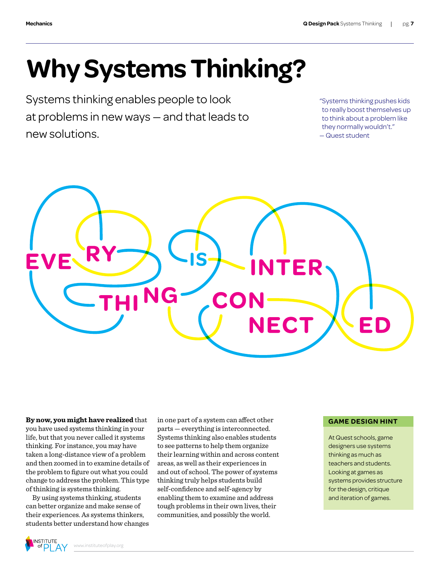## **Why Systems Thinking?**

Systems thinking enables people to look at problems in new ways — and that leads to new solutions.

"Systems thinking pushes kids to really boost themselves up to think about a problem like they normally wouldn't." — Quest student



**By now, you might have realized** that you have used systems thinking in your life, but that you never called it systems thinking. For instance, you may have taken a long-distance view of a problem and then zoomed in to examine details of the problem to figure out what you could change to address the problem. This type of thinking is systems thinking.

By using systems thinking, students can better organize and make sense of their experiences. As systems thinkers, students better understand how changes in one part of a system can affect other parts — everything is interconnected. Systems thinking also enables students to see patterns to help them organize their learning within and across content areas, as well as their experiences in and out of school. The power of systems thinking truly helps students build self-confidence and self-agency by enabling them to examine and address tough problems in their own lives, their communities, and possibly the world.

#### **GAME DESIGN HINT**

At Quest schools, game designers use systems thinking as much as teachers and students. Looking at games as systems provides structure for the design, critique and iteration of games.

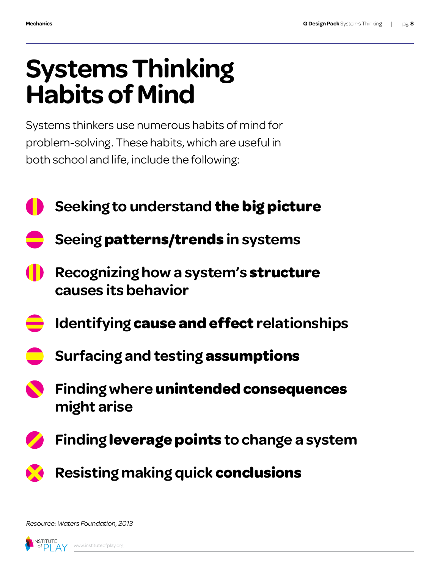## **Systems Thinking Habits of Mind**

Systems thinkers use numerous habits of mind for problem-solving. These habits, which are useful in both school and life, include the following:

- **Seeking to understand the big picture**
	- **Seeing patterns/trends in systems**
- **Recognizing how a system's structure causes its behavior**
- **Identifying cause and effect relationships**
- **Surfacing and testing assumptions**
- **Finding where unintended consequences might arise**
- **Finding leverage points to change a system**
	- **Resisting making quick conclusions**

*Resource: Waters Foundation, 2013*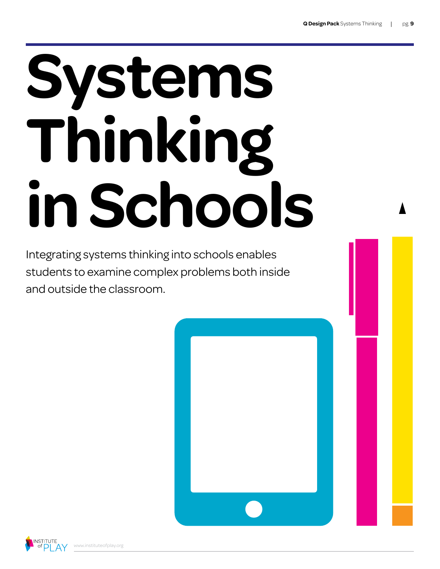# **Systems Thinking in Schools**

Integrating systems thinking into schools enables students to examine complex problems both inside and outside the classroom.

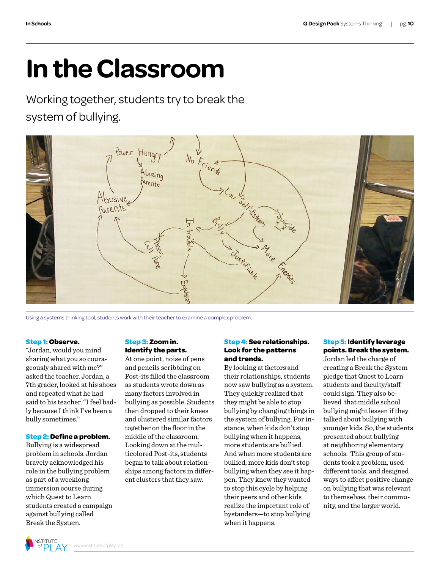## **In the Classroom**

Working together, students try to break the system of bullying.



Using a systems thinking tool, students work with their teacher to examine a complex problem.

#### **Step 1: Observe.**

"Jordan, would you mind sharing what you so courageously shared with me?" asked the teacher. Jordan, a 7th grader, looked at his shoes and repeated what he had said to his teacher."Ifeel badly because Ithink I've been a bully sometimes."

#### **Step 2: Define a problem.**

Bullying is a widespread problem in schools. Jordan bravely acknowledged his role in the bullying problem as part of a weeklong immersion course during which Quest to Learn students created a campaign against bullying called Break the System.

#### **Step 3: Zoom in. Identify the parts.**

At one point, noise of pens and pencils scribbling on Post-its filled the classroom as students wrote down as many factors involved in bullying as possible. Students then dropped to their knees and clustered similar factors together on the floor in the middle of the classroom. Looking down at the multicolored Post-its, students began to talk about relationships among factors in different clusters that they saw.

#### **Step 4: See relationships. Look for the patterns and trends.**

By looking at factors and their relationships, students now saw bullying as a system. They quickly realized that they might be able to stop bullying by changing things in the system of bullying. For instance, when kids don't stop bullying when it happens, more students are bullied. And when more students are bullied, more kids don't stop bullying when they see it happen. They knew they wanted to stop this cycle by helping their peers and other kids realize the important role of bystanders—to stop bullying when it happens.

#### **Step 5: Identify leverage points. Break the system.**

Jordan led the charge of creating a Break the System pledge that Quest to Learn students and faculty/staff could sign. They also believed that middle school bullying might lessen if they talked about bullying with younger kids. So, the students presented about bullying at neighboring elementary schools. This group of students took a problem, used different tools, and designed ways to affect positive change on bullying that was relevant to themselves, their community, and the larger world.

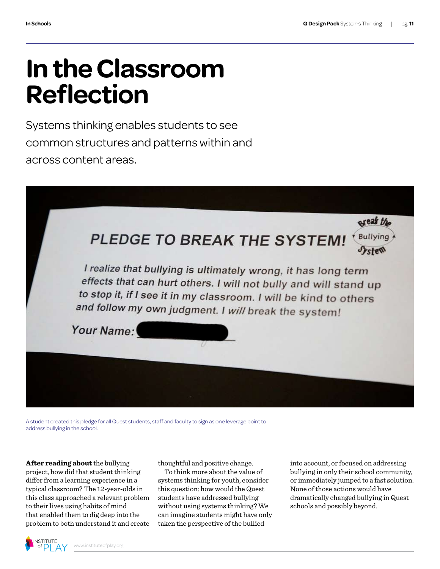## **In the Classroom Reflection**

Systems thinking enables students to see common structures and patterns within and across content areas.



A student created this pledge for all Quest students, staff and faculty to sign as one leverage point to address bullying in the school.

**After reading about** the bullying project, how did that student thinking differ from a learning experience in a typical classroom? The 12-year-olds in this class approached a relevant problem to their lives using habits of mind that enabled them to dig deep into the problem to both understand it and create

thoughtful and positive change.

To think more about the value of systems thinking for youth, consider this question: how would the Quest students have addressed bullying without using systems thinking? We can imagine students might have only taken the perspective of the bullied

into account, or focused on addressing bullying in only their school community, or immediately jumped to a fast solution. None of those actions would have dramatically changed bullying in Quest schools and possibly beyond.

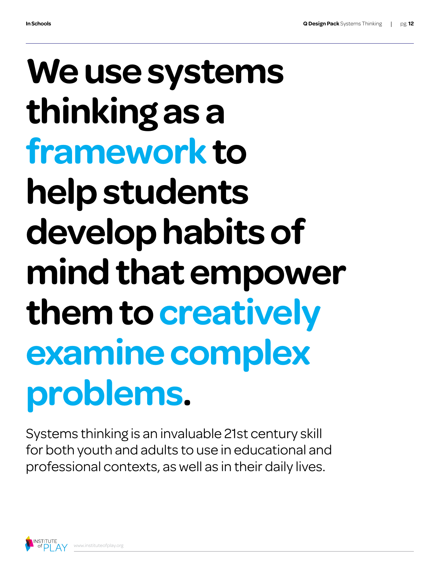## **We use systems thinking as a framework to help students develop habits of mind that empower them to creatively examine complex problems.**

Systems thinking is an invaluable 21st century skill for both youth and adults to use in educational and professional contexts, as well as in their daily lives.

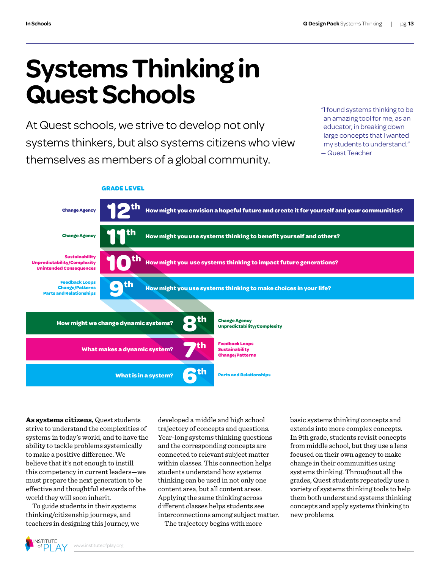## **Systems Thinking in Quest Schools**

At Quest schools, we strive to develop not only systems thinkers, but also systems citizens who view themselves as members of a global community.

"I found systems thinking to be an amazing tool for me, as an educator, in breaking down large concepts that I wanted my students to understand." — Quest Teacher



**As systems citizens,** Quest students strive to understand the complexities of systems in today's world, and to have the ability to tackle problems systemically to make a positive difference. We believe that it's not enough to instill this competency in current leaders—we must prepare the next generation to be effective and thoughtful stewards of the world they will soon inherit.

To guide students in their systems thinking/citizenship journeys, and teachers in designing this journey, we

developed a middle and high school trajectory of concepts and questions. Year-long systems thinking questions and the corresponding concepts are connected to relevant subject matter within classes. This connection helps students understand how systems thinking can be used in not only one content area, but all content areas. Applying the same thinking across different classes helps students see interconnections among subject matter.

The trajectory begins with more

basic systems thinking concepts and extends into more complex concepts. In 9th grade, students revisit concepts from middle school, but they use a lens focused on their own agency to make change in their communities using systems thinking. Throughout all the grades, Quest students repeatedly use a variety of systems thinking tools to help them both understand systems thinking concepts and apply systems thinking to new problems.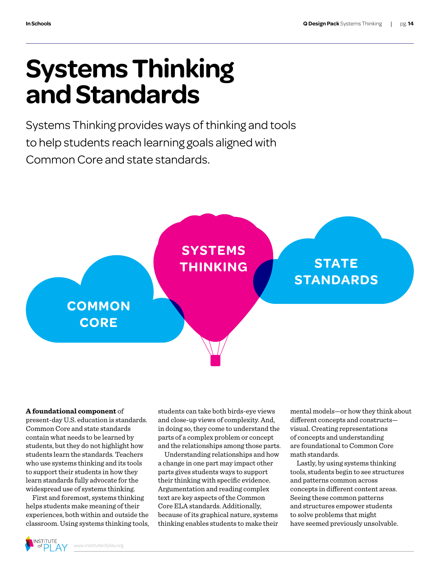## **Systems Thinking and Standards**

Systems Thinking provides ways of thinking and tools to help students reach learning goals aligned with Common Core and state standards.



#### **A foundational component** of

present-day U.S. education is standards. Common Core and state standards contain what needs to be learned by students, but they do not highlight how students learn the standards. Teachers who use systems thinking and its tools to support their students in how they learn standards fully advocate for the widespread use of systems thinking.

First and foremost, systems thinking helps students make meaning of their experiences, both within and outside the classroom. Using systems thinking tools,

students can take both birds-eye views and close-up views of complexity. And, in doing so, they come to understand the parts of a complex problem or concept and the relationships among those parts.

Understanding relationships and how a change in one part may impact other parts gives students ways to support their thinking with specific evidence. Argumentation and reading complex text are key aspects of the Common Core ELA standards. Additionally, because of its graphical nature, systems thinking enables students to make their

mental models—or how they think about different concepts and constructs visual. Creating representations of concepts and understanding are foundational to Common Core math standards.

Lastly, by using systems thinking tools, students begin to see structures and patterns common across concepts in different content areas. Seeing these common patterns and structures empower students to solve problems that might have seemed previously unsolvable.

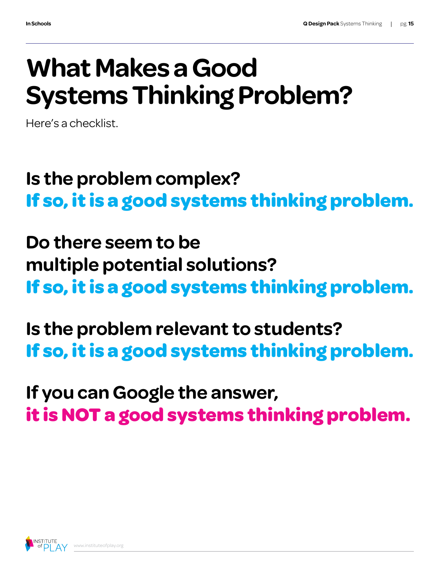## **What Makes a Good Systems Thinking Problem?**

Here's a checklist.

### **Is the problem complex? If so, it is a good systems thinking problem.**

**Do there seem to be multiple potential solutions? If so, it is a good systems thinking problem.**

**Is the problem relevant to students? If so, it is a good systems thinking problem.**

**If you can Google the answer, it is NOT a good systems thinking problem.**

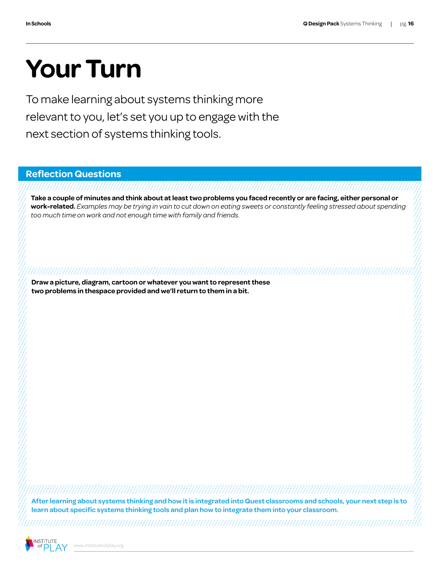## **Your Turn**

To make learning about systems thinking more relevant to you, let's set you up to engage with the next section of systems thinking tools.

**Reflection Questions**

**Take a couple of minutes and think about at least two problems you faced recently or are facing, either personal or work-related.** *Examples may be trying in vain to cut down on eating sweets or constantly feeling stressed about spending too much time on work and not enough time with family and friends.* 

,,,,,,,,,,,,,,,,,,,,,,,,,,,,,,,

**Draw a picture, diagram, cartoon or whatever you want to represent these two problems in thespace provided and we'll return to them in a bit.**

**After learning about systems thinking and how it is integrated into Quest classrooms and schools, your next step is to learn about specific systems thinking tools and plan how to integrate them into your classroom.**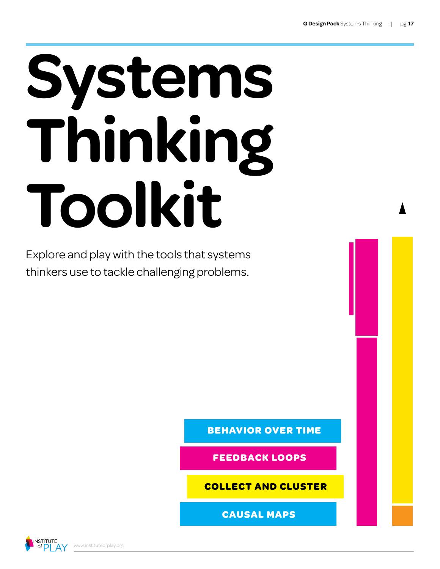## **Systems Thinking Toolkit**

Explore and play with the tools that systems thinkers use to tackle challenging problems.

**BEHAVIOR OVER TIME**

**FEEDBACK LOOPS**

**COLLECT AND CLUSTER**

**CAUSAL MAPS**

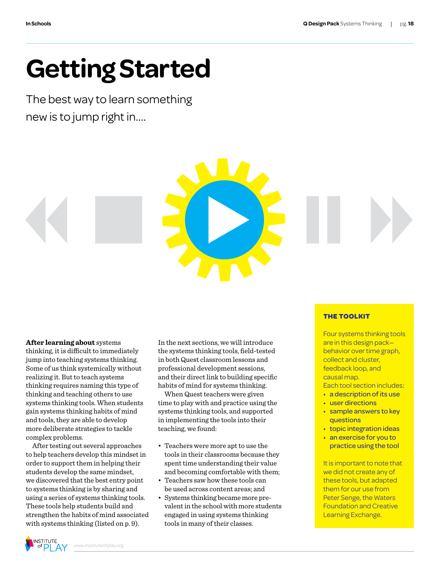## **Getting Started**

The best way to learn something new is to jump right in….



**After learning about** systems thinking, it is difficult to immediately jump into teaching systems thinking. Some of us think systemically without realizing it. But to teach systems thinking requires naming this type of thinking and teaching others to use systems thinking tools. When students gain systems thinking habits of mind and tools, they are able to develop more deliberate strategies to tackle complex problems.

After testing out several approaches to help teachers develop this mindset in order to support them in helping their students develop the same mindset, we discovered that the best entry point to systems thinking is by sharing and using a series of systems thinking tools. These tools help students build and strengthen the habits of mind associated with systems thinking (listed on p. 9).

In the next sections, we will introduce the systems thinking tools, field-tested in both Quest classroom lessons and professional development sessions, and their direct link to building specific habits of mind for systems thinking.

When Quest teachers were given time to play with and practice using the systems thinking tools, and supported in implementing the tools into their teaching, we found:

- • Teachers were more apt to use the tools in their classrooms because they spent time understanding their value and becoming comfortable with them;
- Teachers saw how these tools can be used across content areas; and
- Systems thinking became more prevalentin the school with more students engaged in using systems thinking tools in many of their classes.

#### **THE TOOLKIT**

Four systems thinking tools are in this design pack behavior over time graph, collect and cluster, feedback loop, and causal map. Each tool section includes:

- a description of its use
- user directions
- sample answers to key questions
- topic integration ideas
- an exercise for you to practice using the tool

It is important to note that we did not create any of these tools, but adapted them for our use from Peter Senge, the Waters Foundation and Creative Learning Exchange.

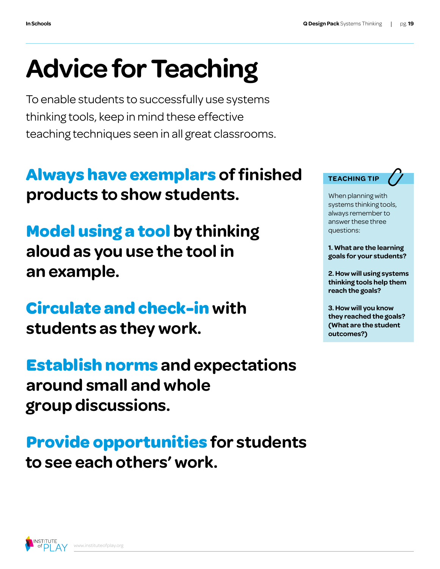## **Advice for Teaching**

To enable students to successfully use systems thinking tools, keep in mind these effective teaching techniques seen in all great classrooms.

#### **Always have exemplars of finished products to show students.**

**Model using a tool by thinking aloud as you use the tool in an example.**

#### **Circulate and check-in with students as they work.**

**Establish norms and expectations around small and whole group discussions.**

**Provide opportunities for students to see each others' work.**



When planning with systems thinking tools, always remember to answer these three questions:

**1. What are the learning goals for your students?**

**2. How will using systems thinking tools help them reach the goals?**

**3. How will you know they reached the goals? (What are the student outcomes?)**

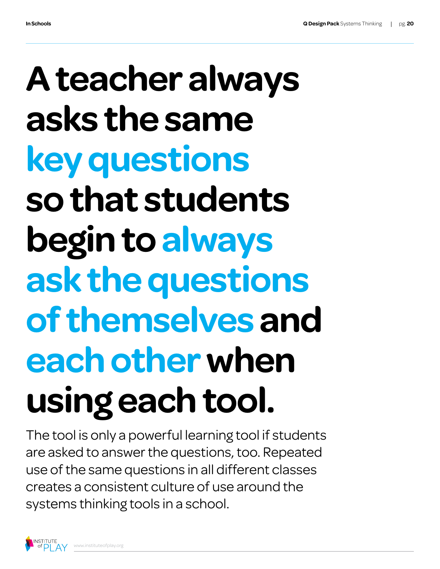## **A teacher always asks the same key questions so that students begin to always ask the questions of themselves and each other when using each tool.**

The tool is only a powerful learning tool if students are asked to answer the questions, too. Repeated use of the same questions in all different classes creates a consistent culture of use around the systems thinking tools in a school.

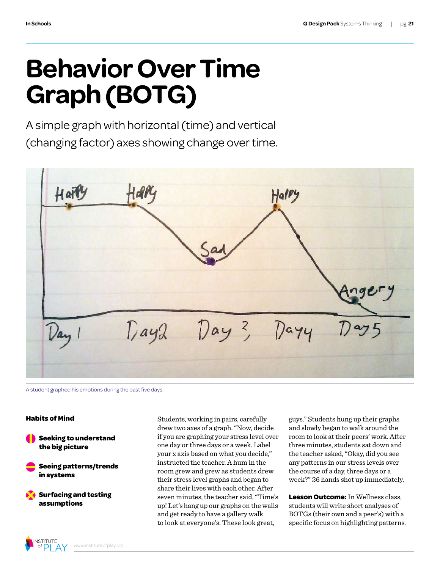## **Behavior Over Time Graph (BOTG)**

A simple graph with horizontal (time) and vertical (changing factor) axes showing change over time.



A student graphed his emotions during the past five days.

#### **Habits of Mind**

**Seeking to understand the big picture**

**Seeing patterns/trends in systems**

**Surfacing and testing assumptions**

Students, working in pairs, carefully drew two axes of a graph."Now, decide if you are graphing your stress level over one day or three days or a week. Label your x axis based on what you decide," instructed the teacher. A hum in the room grew and grew as students drew their stress level graphs and began to share their lives with each other. After seven minutes, the teacher said,"Time's up! Let's hang up our graphs on the walls and get ready to have a gallery walk to look at everyone's. These look great,

guys." Students hung up their graphs and slowly began to walk around the room to look at their peers' work. After three minutes, students sat down and the teacher asked,"Okay, did you see any patterns in our stress levels over the course of a day, three days or a week?" 26 hands shot up immediately.

**Lesson Outcome:** In Wellness class, students will write short analyses of BOTGs (their own and a peer's) with a specific focus on highlighting patterns.

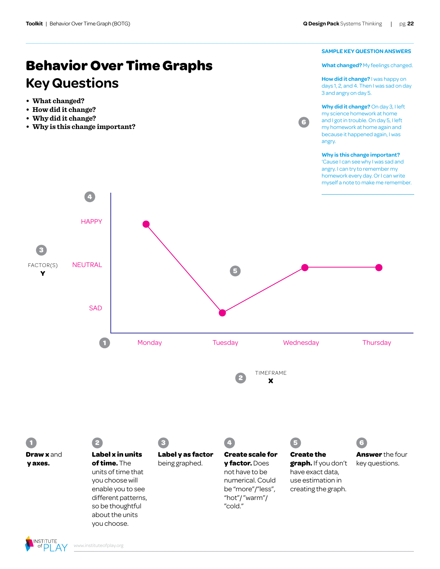#### **Behavior Over Time Graphs Key Questions**

- **• What changed?**
- **• How did it change?**
- **• Why did it change?**
- **• Why is this change important?**



**What changed?** My feelings changed.

**How did it change?** I was happy on days 1, 2, and 4. Then I was sad on day 3 and angry on day 5.

**Why did it change?** On day 3, I left my science homework at home and I got in trouble. On day 5, I left my homework at home again and because it happened again, I was angry.

**6** 

#### **Why is this change important?** 'Cause I can see why I was sad and angry. I can try to remember my

homework every day. Or I can write myself a note to make me remember.

**1 Draw x** and  **y axes. 2 Label x in units of time.** The units of time that you choose will enable you to see different patterns, so be thoughtful about the units **3 Label y as factor** being graphed. **4 Create scale for y factor.** Does not have to be numerical. Could be "more"/"less", "hot"/ "warm"/ "cold." **5 Create the graph.** If you don't have exact data, use estimation in creating the graph. **6 Answer** the four key questions. FACTOR(S) **Y 3**  TIMEFRAME **X 1 2 4 5 HAPPY** SAD Monday Tuesday Wednesday Thursday NEUTRAL



you choose.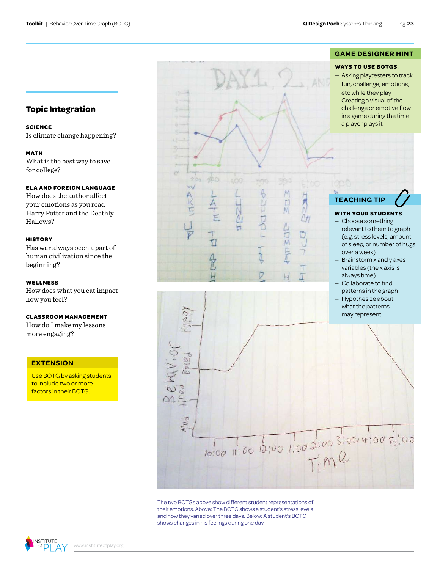#### **GAME DESIGNER HINT**

#### **WAYS TO USE BOTGS**:

- Asking playtesters to track fun, challenge, emotions, etc while they play
- Creating a visual of the challenge or emotive flow in a game during the time a player plays it



#### **WITH YOUR STUDENTS**

- Choose something relevant to them to graph (e.g. stress levels, amount of sleep, or number of hugs over a week)
- Brainstorm x and y axes variables (the x axis is always time)

D — Collaborate to find patterns in the graph — Hypothesize about what the patterns may represent Col  $\overline{O}$  $\infty$ 10:00 11:00 13:00 1:00 2:00 3:00 4:00 5:00

 $\frac{1}{2}$ 

 $\frac{1}{2}$ 

The two BOTGs above show different student representations of their emotions. Above: The BOTG shows a student's stress levels and how they varied over three days. Below: A student's BOTG shows changes in his feelings during one day.

Δ

K

#### **Topic Integration**

**SCIENCE**

Is climate change happening?

#### **MATH**

What is the best way to save for college?

#### **ELA AND FOREIGN LANGUAGE**

How does the author affect your emotions as you read Harry Potter and the Deathly Hallows?

#### **HISTORY**

Has war always been a part of human civilization since the beginning?

#### **WELLNESS**

How does what you eatimpact how you feel?

#### **CLASSROOM MANAGEMENT**

How do I make my lessons more engaging?

#### **EXTENSION**

Use BOTG by asking students to include two or more factors in their BOTG.

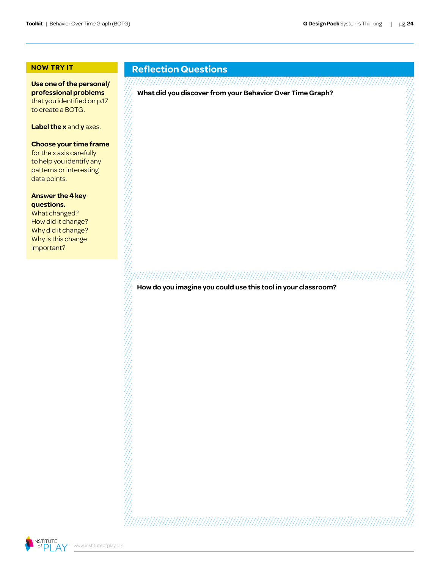#### **NOW TRY IT**

**Use one of the personal/ professional problems** that you identified on p.17 to create a BOTG.

**Label the x** and **y** axes.

#### **Choose your time frame**

for the x axis carefully to help you identify any patterns or interesting data points.

**Answer the 4 key questions.**

What changed? How did it change? Why did it change? Why is this change important?

#### **Reflection Questions**

**What did you discover from your Behavior Over Time Graph?**

**How do you imagine you could use this tool in your classroom?**

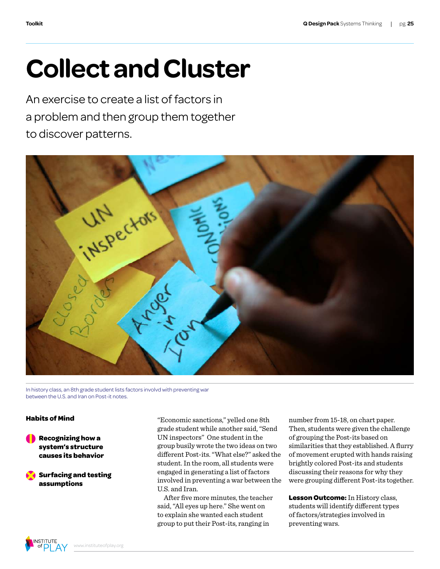## **Collect and Cluster**

An exercise to create a list of factors in a problem and then group them together to discover patterns.



In history class, an 8th grade student lists factors involvd with preventing war between the U.S. and Iran on Post-it notes.

#### **Habits of Mind**

**Recognizing how a system's structure causes its behavior**

**Surfacing and testing assumptions**

"Economic sanctions," yelled one 8th grade student while another said,"Send UN inspectors" One student in the group busily wrote the two ideas on two different Post-its."What else?" asked the student.In the room, all students were engaged in generating a list of factors involved in preventing a war between the U.S. and Iran.

After five more minutes, the teacher said,"All eyes up here." She went on to explain she wanted each student group to put their Post-its, ranging in

number from 15-18, on chart paper. Then, students were given the challenge of grouping the Post-its based on similarities that they established. A flurry of movement erupted with hands raising brightly colored Post-its and students discussing their reasons for why they were grouping different Post-its together.

**Lesson Outcome:** In History class, students will identify different types of factors/strategies involved in preventing wars.

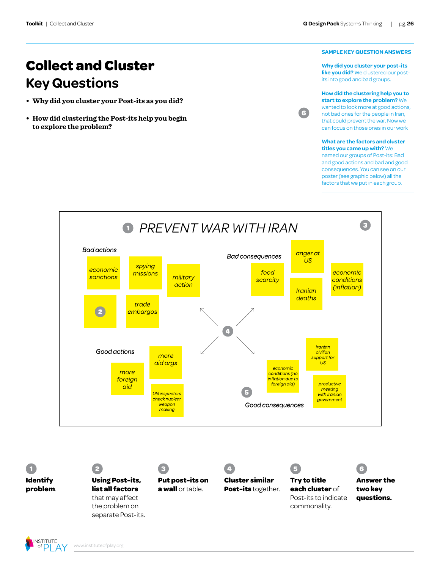**Collect and Cluster**

**• Why did you cluster your Post-its as you did?**

**• How did clustering the Post-its help you begin** 

**Key Questions**

**to explore the problem?**

#### **SAMPLE KEY QUESTION ANSWERS**

**Why did you cluster your post-its like you did?** We clustered our postits into good and bad groups.

**How did the clustering help you to start to explore the problem?** We wanted to look more at good actions, not bad ones for the people in Iran, that could prevent the war. Now we can focus on those ones in our work

**6** 

#### **What are the factors and cluster titles you came up with?** We

named our groups of Post-its: Bad and good actions and bad and good consequences. You can see on our poster (see graphic below) all the factors that we put in each group.



**1 Identify problem**.

#### **2 Using Post-its, list all factors**  that may affect the problem on separate Post-its.



**Cluster similar Post-its** together.

**4** 



#### **Try to title each cluster** of Post-its to indicate commonality.

**5** 



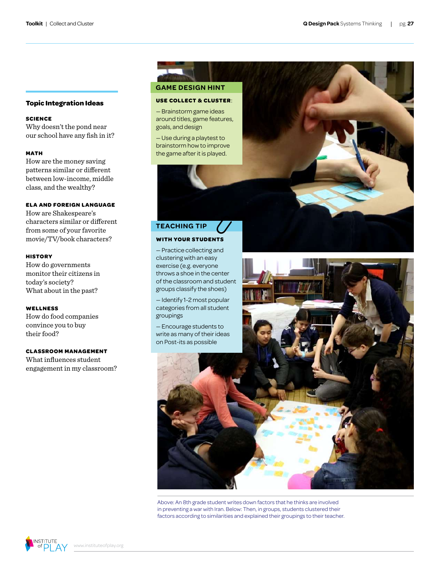#### **Topic Integration Ideas**

#### **SCIENCE**

Why doesn't the pond near our school have any fish in it?

#### **MATH**

How are the money saving patterns similar or different between low-income, middle class, and the wealthy?

#### **ELA AND FOREIGN LANGUAGE**

How are Shakespeare's characters similar or different from some of your favorite movie/TV/book characters?

#### **HISTORY**

How do governments monitor their citizens in today's society? What about in the past?

#### **WELLNESS**

How do food companies convince you to buy their food?

#### **CLASSROOM MANAGEMENT**

What influences student engagement in my classroom?

#### **GAME DESIGN HINT**

#### **USE COLLECT & CLUSTER**:

— Brainstorm game ideas around titles, game features, goals, and design

— Use during a playtest to brainstorm how to improve the game after it is played.



#### **TEACHING TIP**

#### **WITH YOUR STUDENTS**

— Practice collecting and clustering with an easy exercise (e.g. everyone throws a shoe in the center of the classroom and student groups classify the shoes)

— Identify 1-2 most popular categories from all student groupings

— Encourage students to write as many of their ideas on Post-its as possible



Above: An 8th grade student writes down factors that he thinks are involved in preventing a war with Iran. Below: Then, in groups, students clustered their factors according to similarities and explained their groupings to their teacher.

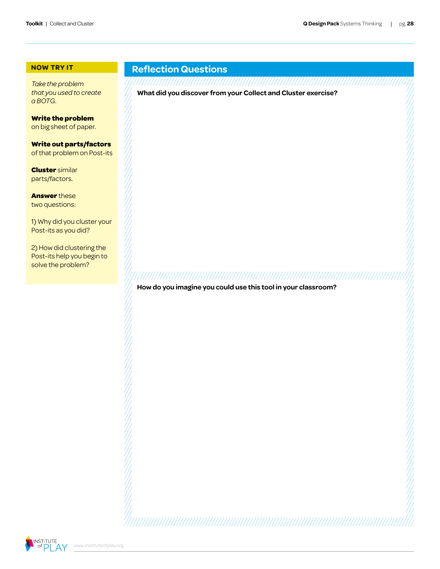#### **NOW TRY IT**

*Take the problem that you used to create a BOTG.*

**Write the problem** on big sheet of paper.

**Write out parts/factors** of that problem on Post-its

**Cluster** similar parts/factors.

**Answer** these two questions:

1) Why did you cluster your Post-its as you did?

2) How did clustering the Post-its help you begin to solve the problem?

#### **Reflection Questions**

**What did you discover from your Collect and Cluster exercise?**

**How do you imagine you could use this tool in your classroom?**

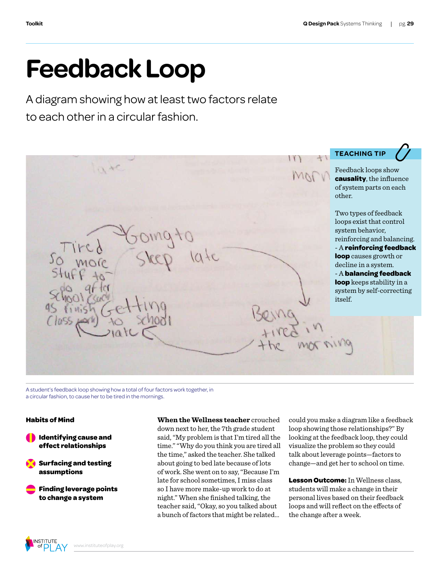## **Feedback Loop**

A diagram showing how at least two factors relate to each other in a circular fashion.

**TEACHING TIP** $0.40$ Feedback loops show **causality**, the influence of system parts on each other. Two types of feedback loops exist that control system behavior, reinforcing and balancing. - A **reinforcing feedback**   $940$ **loop** causes growth or decline in a system. - A **balancing feedback loop** keeps stability in a system by self-correcting itself.

A student's feedback loop showing how a total of four factors work together, in a circular fashion, to cause her to be tired in the mornings.

#### **Habits of Mind**

**I** Identifying cause and **effect relationships**

**Surfacing and testing assumptions**

**Finding leverage points to change a system**

**When the Wellness teacher** crouched down next to her, the 7th grade student said, "My problem is that I'm tired all the time.""Why do you think you are tired all the time," asked the teacher. She talked about going to bed late because of lots of work. She went on to say,"Because I'm late for school sometimes,I miss class so I have more make-up work to do at night." When she finished talking, the teacher said,"Okay, so you talked about a bunch of factors that might be related...

could you make a diagram like a feedback loop showing those relationships?" By looking at the feedback loop, they could visualize the problem so they could talk about leverage points—factors to change—and get her to school on time.

**Lesson Outcome:** In Wellness class, students will make a change in their personal lives based on their feedback loops and will reflect on the effects of the change after a week.

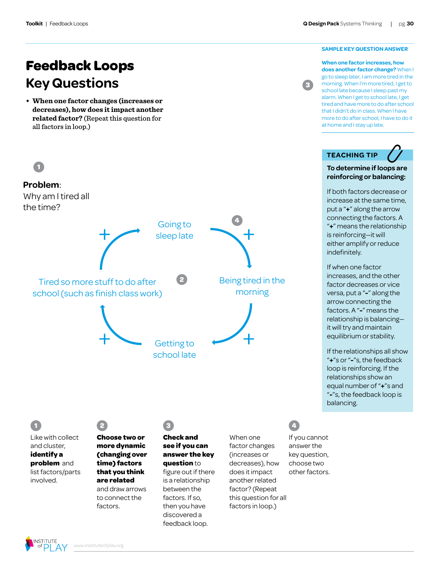#### **SAMPLE KEY QUESTION ANSWER**

**When one factor increases, how does another factor change?** When I go to sleep later, I am more tired in the morning. When I'm more tired, I get to school late because I sleep past my alarm. When I get to school late, I get tired and have more to do after school that I didn't do in class. When I have more to do after school, I have to do it at home and I stay up late.

**3** 

#### **TEACHING TIP**

#### **To determine if loops are reinforcing or balancing:**

If both factors decrease or increase at the same time, put a "**+**" along the arrow connecting the factors. A "**+**" means the relationship is reinforcing—it will either amplify or reduce indefinitely.

If when one factor increases, and the other factor decreases or vice versa, put a "**-**" along the arrow connecting the factors. A "**-**" means the relationship is balancing it will try and maintain equilibrium or stability.

If the relationships all show "**+**"s or "**-**"s, the feedback loop is reinforcing. If the relationships show an equal number of "**+**"s and "**-**"s, the feedback loop is balancing.

#### **Feedback Loops Key Questions**

**• When one factor changes (increases or decreases), how does it impact another related factor?** (Repeat this question for all factors in loop.)



#### **1**  Like with collect

and cluster, **identify a problem** and list factors/parts involved.



#### **Choose two or more dynamic (changing over time) factors that you think are related** and draw arrows to connect the factors.

**Check and see if you can answer the key question** to figure out if there is a relationship between the factors. If so, then you have

discovered a feedback loop.

**3** 

When one factor changes (increases or decreases), how does it impact another related factor? (Repeat this question for all factors in loop.)



If you cannot answer the key question, choose two other factors.

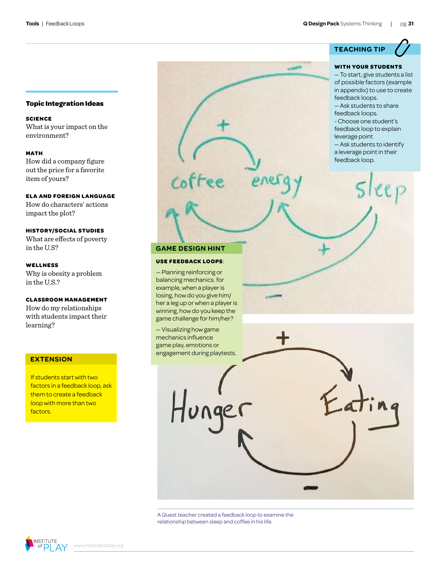#### **Topic Integration Ideas**

**SCIENCE** What is your impact on the environment?

**MATH** How did a company figure out the price for a favorite item of yours?

#### **ELA AND FOREIGN LANGUAGE**

How do characters' actions impact the plot?

#### **HISTORY/SOCIAL STUDIES**

What are effects of poverty in the U.S?

**WELLNESS** Why is obesity a problem in the U.S.?

#### **CLASSROOM MANAGEMENT**

How do my relationships with students impact their learning?

#### **EXTENSION**

If students start with two factors in a feedback loop, ask them to create a feedback loop with more than two factors.

**GAME DESIGN HINT**

ee

#### **USE FEEDBACK LOOPS**:

— Planning reinforcing or balancing mechanics. for example, when a player is losing, how do you give him/ her a leg up or when a player is winning, how do you keep the game challenge for him/her?

mechanics influence game play, emotions or engagement during playtests.

#### **TEACHING TIP**

#### **WITH YOUR STUDENTS**

— To start, give students a list of possible factors (example in appendix) to use to create feedback loops.

— Ask students to share feedback loops.

- Choose one student's feedback loop to explain leverage point

— Ask students to identify

a leverage point in their feedback loop.



relationship between sleep and coffee in his life.

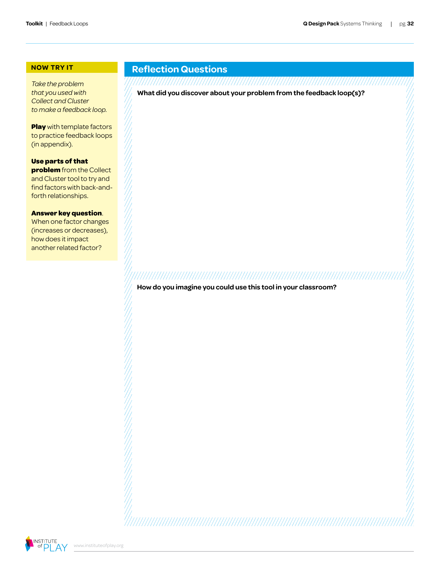#### **NOW TRY IT**

*Take the problem that you used with Collect and Cluster to make a feedback loop.*

**Play** with template factors to practice feedback loops (in appendix).

**Use parts of that problem** from the Collect and Cluster tool to try and find factors with back-andforth relationships.

#### **Answer key question**.

When one factor changes (increases or decreases), how does it impact another related factor?

#### **Reflection Questions**

**What did you discover about your problem from the feedback loop(s)?**

**How do you imagine you could use this tool in your classroom?**

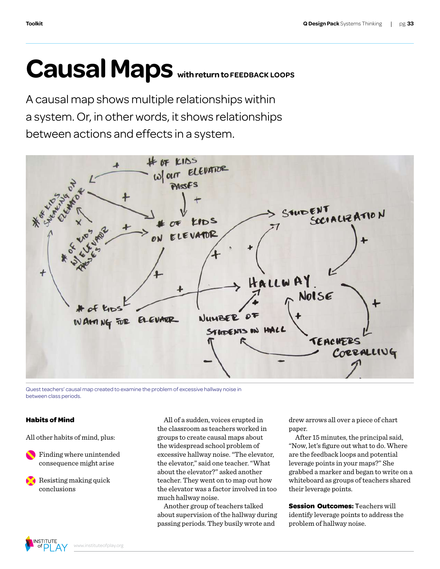## Causal Maps with return to FEEDBACK LOOPS

A causal map shows multiple relationships within a system. Or, in other words, it shows relationships between actions and effects in a system.



Quest teachers' causal map created to examine the problem of excessive hallway noise in between class periods.

#### **Habits of Mind**

All other habits of mind, plus:

Finding where unintended consequence might arise

Resisting making quick conclusions

All of a sudden, voices erupted in the classroom as teachers worked in groups to create causal maps about the widespread school problem of excessive hallway noise."The elevator, the elevator," said one teacher."What about the elevator?" asked another teacher. They went on to map out how the elevator was a factor involved in too much hallway noise.

Another group of teachers talked about supervision of the hallway during passing periods. They busily wrote and

drew arrows all over a piece of chart paper.

After 15 minutes, the principal said, "Now, let's figure out what to do. Where are the feedback loops and potential leverage points in your maps?" She grabbed a marker and began to write on a whiteboard as groups of teachers shared their leverage points.

**Session Outcomes:** Teachers will identify leverage points to address the problem of hallway noise.

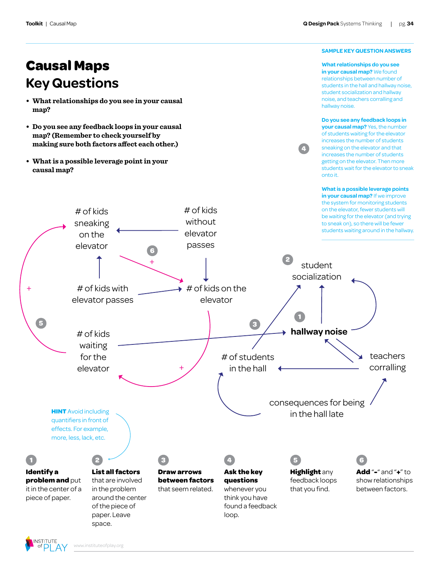#### **SAMPLE KEY QUESTION ANSWERS**

**Causal Maps Key Questions**

- **• What relationships do you see in your causal map?**
- **• Do you see any feedback loops in your causal map? (Remember to check yourself by making sure both factors affect each other.)**
- **• What is a possible leverage point in your causal map?**

**What relationships do you see in your causal map?** We found relationships between number of students in the hall and hallway noise, student socialization and hallway noise, and teachers corralling and hallway noise.

**Do you see any feedback loops in your causal map?** Yes, the number of students waiting for the elevator increases the number of students sneaking on the elevator and that increases the number of students getting on the elevator. Then more students wait for the elevator to sneak onto it.

**4** 

**What is a possible leverage points in your causal map?** If we improve

**1 Identify a problem and** put it in the center of a piece of paper. **2 List all factors** that are involved in the problem around the center of the piece of paper. Leave **3 Draw arrows between factors**  that seem related. **4 Ask the key questions**  whenever you think you have found a feedback loop. **5 Highlight** any feedback loops that you find. **6 Add** "**-**" and "**+**" to show relationships between factors. **HINT** Avoid including quantifiers in front of effects. For example, more, less, lack, etc. the system for monitoring students on the elevator, fewer students will be waiting for the elevator (and trying to sneak on), so there will be fewer students waiting around in the hallway. + + + # of kids without elevator passes # of kids on the elevator # of kids waiting for the elevator # of kids sneaking on the elevator **hallway noise** student socialization # of students in the hall consequences for being in the hall late teachers corralling # of kids with elevator passes **1 2 3 5 6** 



space.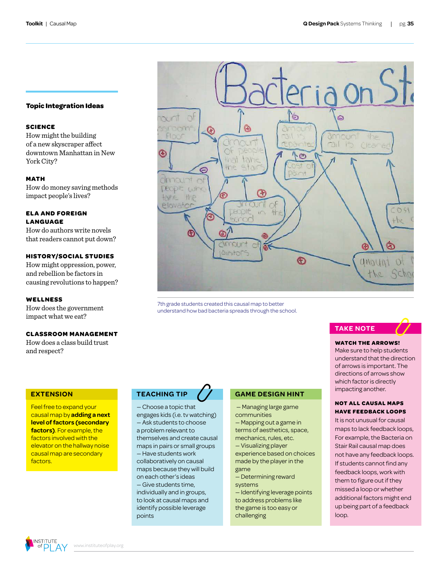#### **Topic Integration Ideas**

#### **SCIENCE**

How might the building of a new skyscraper affect downtown Manhattan in New York City?

#### **MATH**

How do money saving methods impact people's lives?

#### **ELA AND FOREIGN LANGUAGE**

How do authors write novels that readers cannot put down?

#### **HISTORY/SOCIAL STUDIES**

How might oppression, power, and rebellion be factors in causing revolutions to happen?

#### **WELLNESS**

How does the government impact what we eat?

#### **CLASSROOM MANAGEMENT**

How does a class build trust and respect?

#### **EXTENSION**

Feel free to expand your causal map by **adding a next level of factors (secondary factors)**. For example, the factors involved with the elevator on the hallway noise causal map are secondary factors.



7th grade students created this causal map to better understand how bad bacteria spreads through the school.

#### **TEACHING TIP**

— Choose a topic that engages kids (i.e. tv watching) — Ask students to choose a problem relevant to themselves and create causal maps in pairs or small groups — Have students work collaboratively on causal maps because they will build on each other's ideas — Give students time, individually and in groups, to look at causal maps and identify possible leverage points

#### **GAME DESIGN HINT**

 — Managing large game communities

— Mapping out a game in terms of aesthetics, space,

mechanics, rules, etc. — Visualizing player experience based on choices made by the player in the game

— Determining reward systems

— Identifying leverage points to address problems like the game is too easy or challenging



#### **WATCH THE ARROWS!**

Make sure to help students understand that the direction of arrows is important. The directions of arrows show which factor is directly impacting another.

#### **NOT ALL CAUSAL MAPS HAVE FEEDBACK LOOPS**

It is not unusual for causal maps to lack feedback loops, For example, the Bacteria on Stair Rail causal map does not have any feedback loops. If students cannot find any feedback loops, work with them to figure out if they missed a loop or whether additional factors might end up being part of a feedback loop.

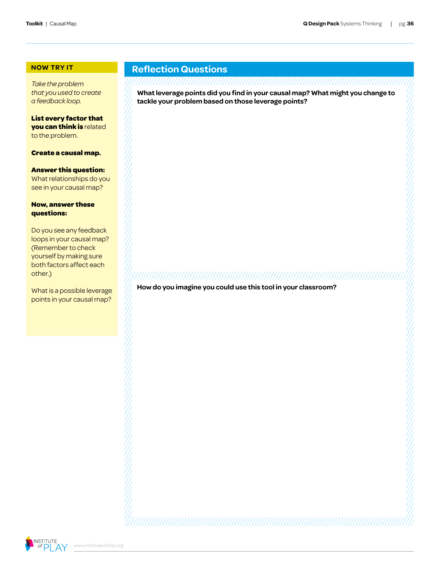#### **NOW TRY IT**

*Take the problem that you used to create a feedback loop.*

**List every factor that you can think is** related to the problem.

**Create a causal map.** 

#### **Answer this question:**

What relationships do you see in your causal map?

#### **Now, answer these questions:**

Do you see any feedback loops in your causal map? (Remember to check yourself by making sure both factors affect each other.)

What is a possible leverage points in your causal map?

#### **Reflection Questions**

#### 

**What leverage points did you find in your causal map? What might you change to tackle your problem based on those leverage points?**

**How do you imagine you could use this tool in your classroom?**

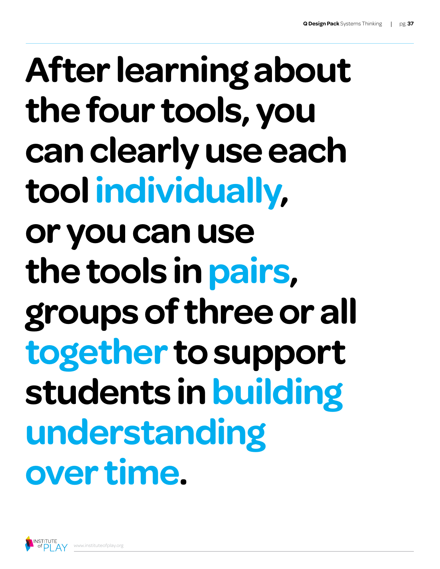## **After learning about the four tools, you can clearly use each tool individually, or you can use the tools in pairs, groups of three or all together to support students in building understanding over time.**

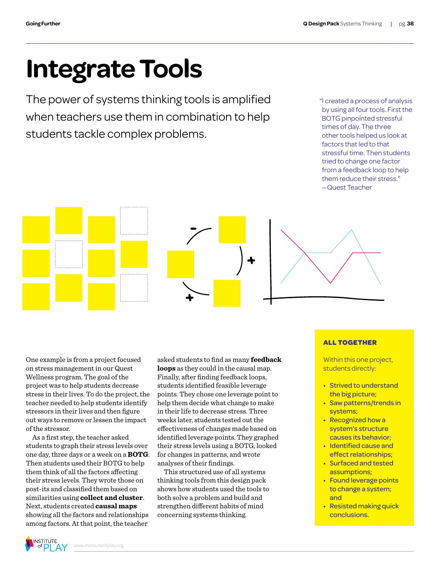## **Integrate Tools**

The power of systems thinking tools is amplified when teachers use them in combination to help students tackle complex problems.

"I created a process of analysis by using all four tools. First the BOTG pinpointed stressful times of day. The three other tools helped us look at factors that led to that stressful time. Then students tried to change one factor from a feedback loop to help them reduce their stress." —Quest Teacher

One example is from a project focused on stress management in our Quest Wellness program. The goal of the project was to help students decrease stress in their lives. To do the project, the teacher needed to help students identify stressors in their lives and then figure out ways to remove or lessen the impact of the stressor.

. . . . . . . . . . . . . 1

As a first step, the teacher asked students to graph their stress levels over one day, three days or a week on a **BOTG**. Then students used their BOTG to help them think of all the factors affecting their stress levels. They wrote those on post-its and classified them based on similarities using **collect and cluster**. Next, students created **causal maps** showing all the factors and relationships among factors. At that point, the teacher

asked students to find as many **feedback loops** as they could in the causal map. Finally, after finding feedback loops, students identified feasible leverage points. They chose one leverage point to help them decide what change to make in their life to decrease stress. Three weeks later, students tested out the effectiveness of changes made based on identified leverage points. They graphed their stress levels using a BOTG, looked for changes in patterns, and wrote analyses of their findings.

This structured use of all systems thinking tools from this design pack shows how students used the tools to both solve a problem and build and strengthen different habits of mind concerning systems thinking.

#### **ALL TOGETHER**

Within this one project, students directly:

- Strived to understand the big picture;
- • Saw patterns/trends in systems;
- Recognized how a system's structure causes its behavior;
- • Identified cause and effect relationships;
- • Surfaced and tested assumptions;
- Found leverage points to change a system; and
- Resisted making quick conclusions.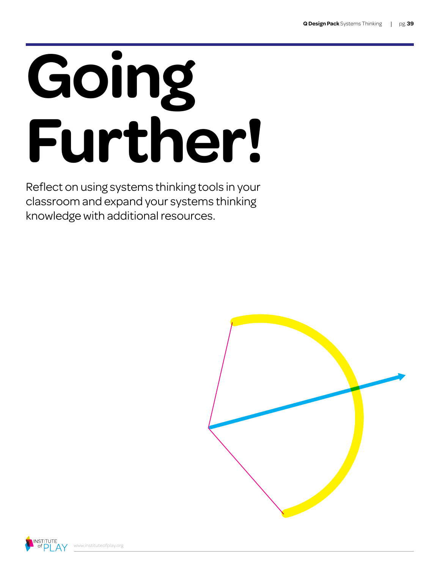# **Going Further!**

Reflect on using systems thinking tools in your classroom and expand your systems thinking knowledge with additional resources.



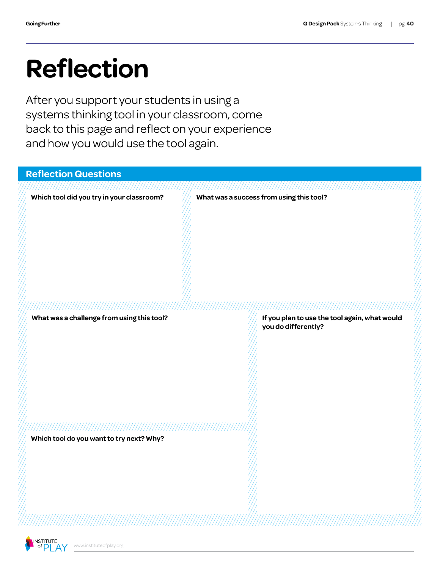## **Reflection**

After you support your students in using a systems thinking tool in your classroom, come back to this page and reflect on your experience and how you would use the tool again.

| <b>Reflection Questions</b>                |                                                                      |
|--------------------------------------------|----------------------------------------------------------------------|
| Which tool did you try in your classroom?  | What was a success from using this tool?                             |
|                                            |                                                                      |
|                                            |                                                                      |
|                                            |                                                                      |
|                                            |                                                                      |
| ,,,,,,,,,,,,,,,,,,,,,,,,,,,,,,,,,,,        | ,,,,,,,,,,,,,,,,,,,,,,,,,                                            |
| What was a challenge from using this tool? | If you plan to use the tool again, what would<br>you do differently? |
|                                            |                                                                      |
|                                            |                                                                      |
|                                            |                                                                      |
|                                            |                                                                      |
|                                            |                                                                      |
| Which tool do you want to try next? Why?   |                                                                      |
|                                            |                                                                      |
|                                            |                                                                      |
|                                            |                                                                      |
|                                            |                                                                      |
|                                            |                                                                      |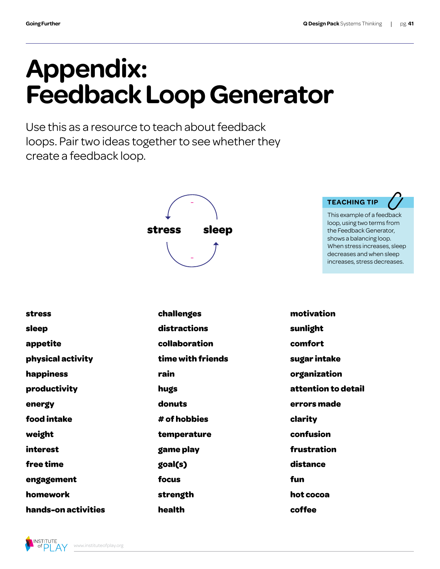## **Appendix: Feedback Loop Generator**

Use this as a resource to teach about feedback loops. Pair two ideas together to see whether they create a feedback loop.



#### **TEACHING TIP**

This example of a feedback loop, using two terms from the Feedback Generator, shows a balancing loop. When stress increases, sleep decreases and when sleep increases, stress decreases.

| <b>stress</b>     | challenges        | motivation          |
|-------------------|-------------------|---------------------|
| sleep             | distractions      | sunlight            |
| appetite          | collaboration     | comfort             |
| physical activity | time with friends | sugar intake        |
| happiness         | rain              | organization        |
| productivity      | hugs              | attention to detail |
| energy            | donuts            | errors made         |
| food intake       | # of hobbies      | clarity             |
| weight            | temperature       | confusion           |
| interest          | game play         | frustration         |
| free time         | goal(s)           | distance            |
| engagement        | focus             | fun                 |
| homework          | strength          | hot cocoa           |

**health**

**coffee**



**hands-on activities**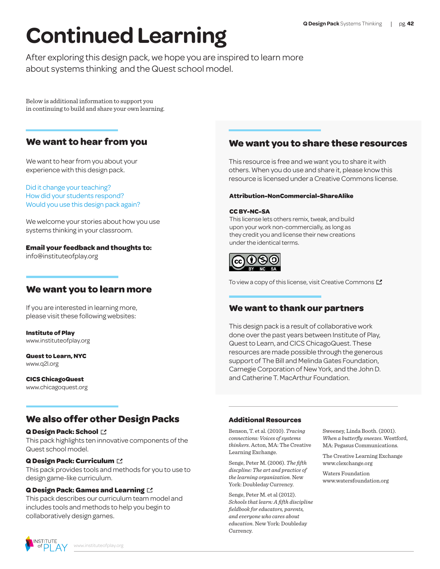## **Continued Learning**

After exploring this design pack, we hope you are inspired to learn more about systems thinking and the Quest school model.

Below is additional information to support you in continuing to build and share your own learning.

#### **We want to hear from you**

We want to hear from you about your experience with this design pack.

Did it change your teaching? How did your students respond? Would you use this design pack again?

We welcome your stories about how you use systems thinking in your classroom.

#### **Email your feedback and thoughts to:**

info@instituteofplay.org

#### **We want you to learn more**

If you are interested in learning more, please visit these following websites:

**Institute of Play** [www.instituteofplay.org](http://www.instituteofplay.org/)

**Quest to Learn, NYC** [www.q2l.org](http://www.instituteofplay.org/work/projects/quest-schools/quest-to-learn/)

#### **CICS ChicagoQuest**

[www.chicagoquest.org](http://www.instituteofplay.org/work/projects/quest-schools/cics-chicagoquest/)

#### **We also offer other Design Packs**

#### **[Q Design Pack: School](http://www.instituteofplay.org/work/projects/q-design-packs/q-school-design-pack/)**

This pack highlights ten innovative components of the Quest school model.

#### **[Q Design Pack:](http://www.instituteofplay.org/work/projects/q-design-packs/q-curriculum-design-pack/) Curriculum**

This pack provides tools and methods for you to use to design game-like curriculum.

#### **[Q Design Pack: Games and Learning](http://www.instituteofplay.org/work/projects/q-design-packs/q-games-and-learning-design-pack/)**

This pack describes our curriculum team model and includes tools and methods to help you begin to collaboratively design games.

#### **We want you to share these resources**

This resource is free and we want you to share it with others. When you do use and share it, please know this resource is licensed under a Creative Commons license.

#### **Attribution-NonCommercial-ShareAlike**

#### **CC BY-NC-SA**

This license lets others remix, tweak, and build upon your work non-commercially, as long as they credit you and license their new creations under the identical terms.



To view a copy of this license, visit Creative Commons  $\square$ 

#### **We want to thank our partners**

This design pack is a result of collaborative work done over the past years between Institute of Play, Quest to Learn, and CICS ChicagoQuest. These resources are made possible through the generous support of The Bill and Melinda Gates Foundation, Carnegie Corporation of New York, and the John D. and Catherine T. MacArthur Foundation.

#### **Additional Resources**

Benson, T. et al. (2010). *Tracing connections: Voices of systems thinkers*. Acton, MA: The Creative Learning Exchange.

Senge, Peter M. (2006). *The fifth discpline: The art and practice of the learning organization*. New York: Doubleday Currency.

Senge, Peter M. et al (2012). *Schools that learn: A fifth discipline fieldbook for educators, parents, and everyone who cares about education*. New York: Doubleday Currency.

Sweeney, Linda Booth. (2001). *When a butterfly sneezes*. Westford, MA: Pegasus Communications.

The Creative Learning Exchange www.clexchange.org

Waters Foundation www.watersfoundation.org